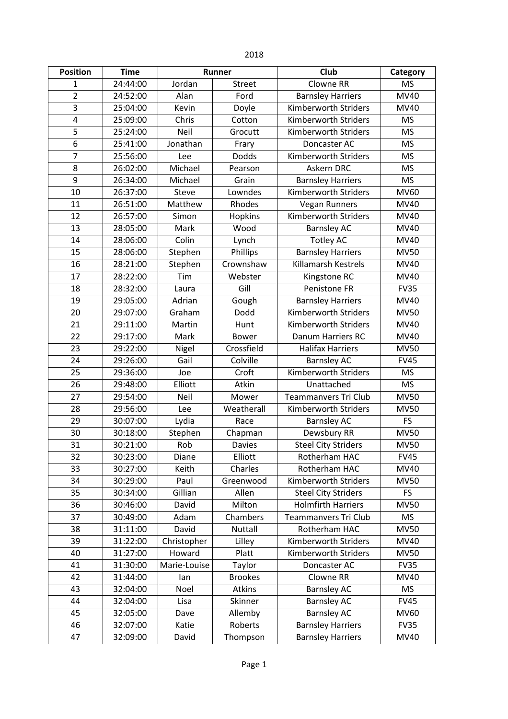| <b>Position</b> | <b>Time</b> | Runner       |                | Club                        | Category    |
|-----------------|-------------|--------------|----------------|-----------------------------|-------------|
| 1               | 24:44:00    | Jordan       | <b>Street</b>  | Clowne RR                   | <b>MS</b>   |
| $\overline{2}$  | 24:52:00    | Alan         | Ford           | <b>Barnsley Harriers</b>    | <b>MV40</b> |
| 3               | 25:04:00    | Kevin        | Doyle          | Kimberworth Striders        | MV40        |
| 4               | 25:09:00    | Chris        | Cotton         | Kimberworth Striders        | <b>MS</b>   |
| 5               | 25:24:00    | Neil         | Grocutt        | Kimberworth Striders        | <b>MS</b>   |
| 6               | 25:41:00    | Jonathan     | Frary          | Doncaster AC                | <b>MS</b>   |
| 7               | 25:56:00    | Lee          | <b>Dodds</b>   | Kimberworth Striders        | <b>MS</b>   |
| 8               | 26:02:00    | Michael      | Pearson        | Askern DRC                  | <b>MS</b>   |
| 9               | 26:34:00    | Michael      | Grain          | <b>Barnsley Harriers</b>    | <b>MS</b>   |
| 10              | 26:37:00    | Steve        | Lowndes        | Kimberworth Striders        | MV60        |
| 11              | 26:51:00    | Matthew      | Rhodes         | <b>Vegan Runners</b>        | MV40        |
| 12              | 26:57:00    | Simon        | Hopkins        | <b>Kimberworth Striders</b> | MV40        |
| 13              | 28:05:00    | Mark         | Wood           | <b>Barnsley AC</b>          | MV40        |
| 14              | 28:06:00    | Colin        | Lynch          | <b>Totley AC</b>            | MV40        |
| 15              | 28:06:00    | Stephen      | Phillips       | <b>Barnsley Harriers</b>    | <b>MV50</b> |
| 16              | 28:21:00    | Stephen      | Crownshaw      | Killamarsh Kestrels         | MV40        |
| 17              | 28:22:00    | Tim          | Webster        | Kingstone RC                | MV40        |
| 18              | 28:32:00    | Laura        | Gill           | Penistone FR                | <b>FV35</b> |
| 19              | 29:05:00    | Adrian       | Gough          | <b>Barnsley Harriers</b>    | MV40        |
| 20              | 29:07:00    | Graham       | Dodd           | <b>Kimberworth Striders</b> | <b>MV50</b> |
| 21              | 29:11:00    | Martin       | Hunt           | Kimberworth Striders        | MV40        |
| 22              | 29:17:00    | Mark         | <b>Bower</b>   | Danum Harriers RC           | MV40        |
| 23              | 29:22:00    | Nigel        | Crossfield     | <b>Halifax Harriers</b>     | <b>MV50</b> |
| 24              | 29:26:00    | Gail         | Colville       | <b>Barnsley AC</b>          | <b>FV45</b> |
| 25              | 29:36:00    | Joe          | Croft          | <b>Kimberworth Striders</b> | <b>MS</b>   |
| 26              | 29:48:00    | Elliott      | Atkin          | Unattached                  | <b>MS</b>   |
| 27              | 29:54:00    | Neil         | Mower          | <b>Teammanvers Tri Club</b> | <b>MV50</b> |
| 28              | 29:56:00    | Lee          | Weatherall     | Kimberworth Striders        | <b>MV50</b> |
| 29              | 30:07:00    | Lydia        | Race           | <b>Barnsley AC</b>          | <b>FS</b>   |
| 30              | 30:18:00    | Stephen      | Chapman        | Dewsbury RR                 | <b>MV50</b> |
| 31              | 30:21:00    | Rob          | <b>Davies</b>  | <b>Steel City Striders</b>  | <b>MV50</b> |
| 32              | 30:23:00    | Diane        | Elliott        | Rotherham HAC               | <b>FV45</b> |
| 33              | 30:27:00    | Keith        | Charles        | Rotherham HAC               | <b>MV40</b> |
| 34              | 30:29:00    | Paul         | Greenwood      | <b>Kimberworth Striders</b> | <b>MV50</b> |
| 35              | 30:34:00    | Gillian      | Allen          | <b>Steel City Striders</b>  | <b>FS</b>   |
| 36              | 30:46:00    | David        | Milton         | <b>Holmfirth Harriers</b>   | <b>MV50</b> |
| 37              | 30:49:00    | Adam         | Chambers       | Teammanvers Tri Club        | <b>MS</b>   |
| 38              | 31:11:00    | David        | <b>Nuttall</b> | Rotherham HAC               | <b>MV50</b> |
| 39              | 31:22:00    | Christopher  | Lilley         | Kimberworth Striders        | <b>MV40</b> |
| 40              | 31:27:00    | Howard       | Platt          | Kimberworth Striders        | <b>MV50</b> |
| 41              | 31:30:00    | Marie-Louise | Taylor         | Doncaster AC                | <b>FV35</b> |
| 42              | 31:44:00    | lan          | <b>Brookes</b> | Clowne RR<br><b>MV40</b>    |             |
| 43              | 32:04:00    | Noel         | Atkins         | <b>Barnsley AC</b>          | <b>MS</b>   |
| 44              | 32:04:00    | Lisa         | Skinner        | <b>Barnsley AC</b>          | <b>FV45</b> |
| 45              | 32:05:00    | Dave         | Allemby        | <b>Barnsley AC</b>          | <b>MV60</b> |
| 46              | 32:07:00    | Katie        | Roberts        | <b>Barnsley Harriers</b>    | <b>FV35</b> |
| 47              | 32:09:00    | David        | Thompson       | <b>Barnsley Harriers</b>    | <b>MV40</b> |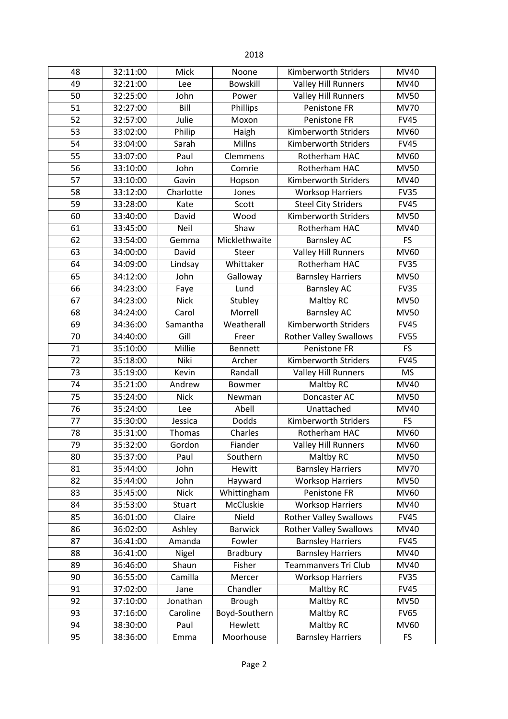| 48 | 32:11:00 | Mick        | Noone           | Kimberworth Striders                    | MV40        |
|----|----------|-------------|-----------------|-----------------------------------------|-------------|
| 49 | 32:21:00 | Lee         | <b>Bowskill</b> | <b>Valley Hill Runners</b>              | MV40        |
| 50 | 32:25:00 | John        | Power           | <b>Valley Hill Runners</b>              | <b>MV50</b> |
| 51 | 32:27:00 | Bill        | Phillips        | Penistone FR                            | <b>MV70</b> |
| 52 | 32:57:00 | Julie       | Moxon           | Penistone FR                            | <b>FV45</b> |
| 53 | 33:02:00 | Philip      | Haigh           | Kimberworth Striders                    | MV60        |
| 54 | 33:04:00 | Sarah       | Millns          | Kimberworth Striders                    | <b>FV45</b> |
| 55 | 33:07:00 | Paul        | Clemmens        | Rotherham HAC                           | <b>MV60</b> |
| 56 | 33:10:00 | John        | Comrie          | Rotherham HAC                           | <b>MV50</b> |
| 57 | 33:10:00 | Gavin       | Hopson          | Kimberworth Striders                    | <b>MV40</b> |
| 58 | 33:12:00 | Charlotte   | Jones           | <b>Worksop Harriers</b>                 | <b>FV35</b> |
| 59 | 33:28:00 | Kate        | Scott           | <b>Steel City Striders</b>              | <b>FV45</b> |
| 60 | 33:40:00 | David       | Wood            | <b>Kimberworth Striders</b>             | <b>MV50</b> |
| 61 | 33:45:00 | Neil        | Shaw            | Rotherham HAC                           | <b>MV40</b> |
| 62 | 33:54:00 | Gemma       | Micklethwaite   | <b>Barnsley AC</b>                      | <b>FS</b>   |
| 63 | 34:00:00 | David       | Steer           | <b>Valley Hill Runners</b>              | <b>MV60</b> |
| 64 | 34:09:00 | Lindsay     | Whittaker       | Rotherham HAC                           | <b>FV35</b> |
| 65 | 34:12:00 | John        | Galloway        | <b>Barnsley Harriers</b>                | <b>MV50</b> |
| 66 | 34:23:00 | Faye        | Lund            | <b>Barnsley AC</b>                      | <b>FV35</b> |
| 67 | 34:23:00 | <b>Nick</b> | Stubley         | Maltby RC                               | <b>MV50</b> |
| 68 | 34:24:00 | Carol       | Morrell         | <b>Barnsley AC</b>                      | <b>MV50</b> |
| 69 | 34:36:00 | Samantha    | Weatherall      | Kimberworth Striders                    | <b>FV45</b> |
| 70 | 34:40:00 | Gill        | Freer           | <b>Rother Valley Swallows</b>           | <b>FV55</b> |
| 71 | 35:10:00 | Millie      | <b>Bennett</b>  | Penistone FR                            | <b>FS</b>   |
| 72 | 35:18:00 | Niki        | Archer          | FV45<br>Kimberworth Striders            |             |
| 73 | 35:19:00 | Kevin       | Randall         | <b>Valley Hill Runners</b><br><b>MS</b> |             |
| 74 | 35:21:00 | Andrew      | Bowmer          | Maltby RC<br>MV40                       |             |
| 75 | 35:24:00 | <b>Nick</b> | Newman          | Doncaster AC                            | <b>MV50</b> |
| 76 | 35:24:00 | Lee         | Abell           | Unattached                              | <b>MV40</b> |
| 77 | 35:30:00 | Jessica     | Dodds           | Kimberworth Striders                    | FS          |
| 78 | 35:31:00 | Thomas      | Charles         | Rotherham HAC                           | <b>MV60</b> |
| 79 | 35:32:00 | Gordon      | Fiander         | <b>Valley Hill Runners</b>              | MV60        |
| 80 | 35:37:00 | Paul        | Southern        | Maltby RC                               | <b>MV50</b> |
| 81 | 35:44:00 | John        | Hewitt          | <b>Barnsley Harriers</b>                | <b>MV70</b> |
| 82 | 35:44:00 | John        | Hayward         | <b>Worksop Harriers</b>                 | <b>MV50</b> |
| 83 | 35:45:00 | <b>Nick</b> | Whittingham     | Penistone FR                            | <b>MV60</b> |
| 84 | 35:53:00 | Stuart      | McCluskie       | <b>Worksop Harriers</b>                 | <b>MV40</b> |
| 85 | 36:01:00 | Claire      | Nield           | <b>Rother Valley Swallows</b>           | <b>FV45</b> |
| 86 | 36:02:00 | Ashley      | <b>Barwick</b>  | <b>Rother Valley Swallows</b><br>MV40   |             |
| 87 | 36:41:00 | Amanda      | Fowler          | <b>Barnsley Harriers</b><br><b>FV45</b> |             |
| 88 | 36:41:00 | Nigel       | Bradbury        | <b>Barnsley Harriers</b>                | <b>MV40</b> |
| 89 | 36:46:00 | Shaun       | Fisher          | <b>Teammanvers Tri Club</b>             | <b>MV40</b> |
| 90 | 36:55:00 | Camilla     | Mercer          | <b>Worksop Harriers</b><br><b>FV35</b>  |             |
| 91 | 37:02:00 | Jane        | Chandler        | Maltby RC<br><b>FV45</b>                |             |
| 92 | 37:10:00 | Jonathan    | <b>Brough</b>   | Maltby RC<br><b>MV50</b>                |             |
| 93 | 37:16:00 | Caroline    | Boyd-Southern   | Maltby RC<br><b>FV65</b>                |             |
| 94 | 38:30:00 | Paul        | Hewlett         | Maltby RC                               | <b>MV60</b> |
| 95 | 38:36:00 | Emma        | Moorhouse       | <b>Barnsley Harriers</b><br><b>FS</b>   |             |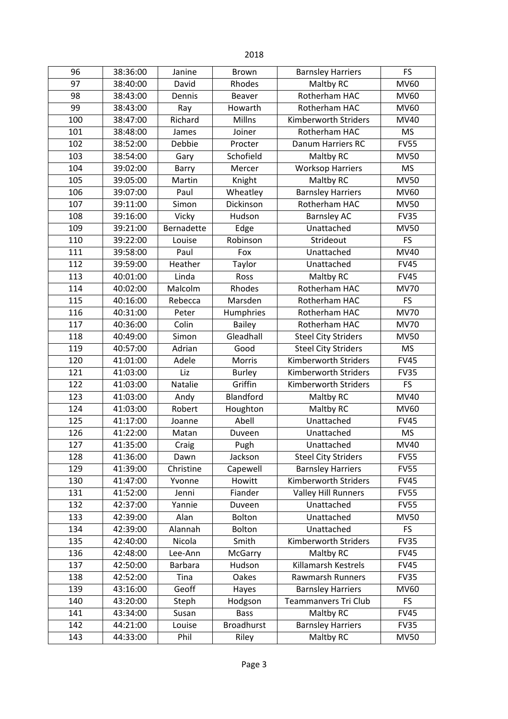| 96  | 38:36:00 | Janine         | <b>Brown</b>      | <b>Barnsley Harriers</b>                   | FS          |
|-----|----------|----------------|-------------------|--------------------------------------------|-------------|
| 97  | 38:40:00 | David          | Rhodes            | Maltby RC                                  | <b>MV60</b> |
| 98  | 38:43:00 | Dennis         | <b>Beaver</b>     | Rotherham HAC                              | <b>MV60</b> |
| 99  | 38:43:00 | Ray            | Howarth           | Rotherham HAC                              | <b>MV60</b> |
| 100 | 38:47:00 | Richard        | Millns            | Kimberworth Striders                       | <b>MV40</b> |
| 101 | 38:48:00 | James          | Joiner            | Rotherham HAC                              | <b>MS</b>   |
| 102 | 38:52:00 | Debbie         | Procter           | Danum Harriers RC                          | <b>FV55</b> |
| 103 | 38:54:00 | Gary           | Schofield         | Maltby RC                                  | <b>MV50</b> |
| 104 | 39:02:00 | Barry          | Mercer            | <b>Worksop Harriers</b>                    | <b>MS</b>   |
| 105 | 39:05:00 | Martin         | Knight            | Maltby RC                                  | <b>MV50</b> |
| 106 | 39:07:00 | Paul           | Wheatley          | <b>Barnsley Harriers</b>                   | <b>MV60</b> |
| 107 | 39:11:00 | Simon          | Dickinson         | Rotherham HAC                              | <b>MV50</b> |
| 108 | 39:16:00 | Vicky          | Hudson            | <b>Barnsley AC</b>                         | <b>FV35</b> |
| 109 | 39:21:00 | Bernadette     | Edge              | Unattached                                 | <b>MV50</b> |
| 110 | 39:22:00 | Louise         | Robinson          | Strideout                                  | <b>FS</b>   |
| 111 | 39:58:00 | Paul           | Fox               | Unattached                                 | <b>MV40</b> |
| 112 | 39:59:00 | Heather        | Taylor            | Unattached                                 | <b>FV45</b> |
| 113 | 40:01:00 | Linda          | Ross              | Maltby RC                                  | <b>FV45</b> |
| 114 | 40:02:00 | Malcolm        | Rhodes            | Rotherham HAC                              | <b>MV70</b> |
| 115 | 40:16:00 | Rebecca        | Marsden           | Rotherham HAC                              | <b>FS</b>   |
| 116 | 40:31:00 | Peter          | Humphries         | Rotherham HAC                              | <b>MV70</b> |
| 117 | 40:36:00 | Colin          | <b>Bailey</b>     | Rotherham HAC                              | <b>MV70</b> |
| 118 | 40:49:00 | Simon          | Gleadhall         | <b>Steel City Striders</b>                 | <b>MV50</b> |
| 119 | 40:57:00 | Adrian         | Good              | <b>Steel City Striders</b>                 | <b>MS</b>   |
| 120 | 41:01:00 | Adele          | Morris            | Kimberworth Striders<br><b>FV45</b>        |             |
| 121 | 41:03:00 | Liz            | <b>Burley</b>     | Kimberworth Striders<br><b>FV35</b>        |             |
| 122 | 41:03:00 | Natalie        | Griffin           | Kimberworth Striders<br>FS                 |             |
| 123 | 41:03:00 | Andy           | Blandford         | Maltby RC                                  | <b>MV40</b> |
| 124 | 41:03:00 | Robert         | Houghton          | Maltby RC                                  | MV60        |
| 125 | 41:17:00 | Joanne         | Abell             | Unattached                                 | <b>FV45</b> |
| 126 | 41:22:00 | Matan          | Duveen            | Unattached                                 | <b>MS</b>   |
| 127 | 41:35:00 | Craig          | Pugh              | Unattached                                 | MV40        |
| 128 | 41:36:00 | Dawn           | Jackson           | <b>Steel City Striders</b>                 | <b>FV55</b> |
| 129 | 41:39:00 | Christine      | Capewell          | <b>Barnsley Harriers</b>                   | <b>FV55</b> |
| 130 | 41:47:00 | Yvonne         | Howitt            | Kimberworth Striders                       | <b>FV45</b> |
| 131 | 41:52:00 | Jenni          | Fiander           | Valley Hill Runners                        | <b>FV55</b> |
| 132 | 42:37:00 | Yannie         | Duveen            | Unattached<br><b>FV55</b>                  |             |
| 133 | 42:39:00 | Alan           | Bolton            | Unattached                                 | <b>MV50</b> |
| 134 | 42:39:00 | Alannah        | Bolton            | Unattached                                 | <b>FS</b>   |
| 135 | 42:40:00 | Nicola         | Smith             | <b>Kimberworth Striders</b><br><b>FV35</b> |             |
| 136 | 42:48:00 | Lee-Ann        | McGarry           | Maltby RC<br><b>FV45</b>                   |             |
| 137 | 42:50:00 | <b>Barbara</b> | Hudson            | Killamarsh Kestrels<br><b>FV45</b>         |             |
| 138 | 42:52:00 | Tina           | Oakes             | <b>Rawmarsh Runners</b><br><b>FV35</b>     |             |
| 139 | 43:16:00 | Geoff          | Hayes             | <b>Barnsley Harriers</b><br><b>MV60</b>    |             |
| 140 | 43:20:00 | Steph          | Hodgson           | <b>Teammanvers Tri Club</b>                | <b>FS</b>   |
| 141 | 43:34:00 | Susan          | <b>Bass</b>       | Maltby RC                                  | <b>FV45</b> |
| 142 | 44:21:00 | Louise         | <b>Broadhurst</b> | <b>Barnsley Harriers</b>                   | <b>FV35</b> |
| 143 | 44:33:00 | Phil           | Riley             | Maltby RC<br><b>MV50</b>                   |             |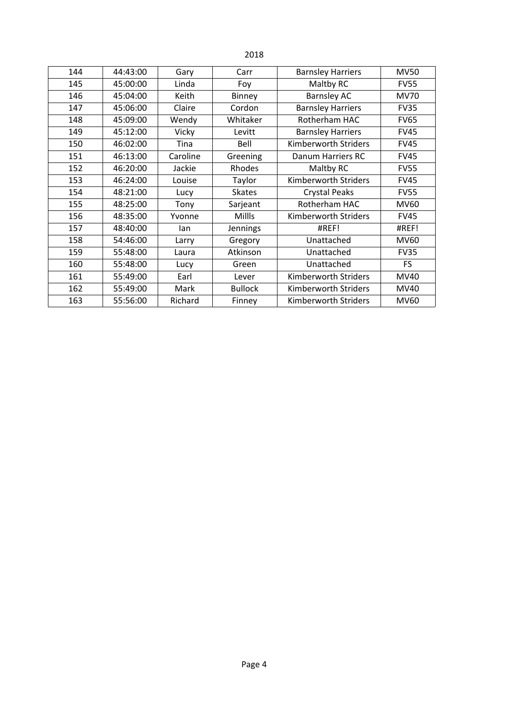| 144 | 44:43:00 | Gary     | Carr           | <b>Barnsley Harriers</b> | <b>MV50</b> |
|-----|----------|----------|----------------|--------------------------|-------------|
| 145 | 45:00:00 | Linda    | Foy            | Maltby RC                | <b>FV55</b> |
| 146 | 45:04:00 | Keith    | Binney         | <b>Barnsley AC</b>       | <b>MV70</b> |
| 147 | 45:06:00 | Claire   | Cordon         | <b>Barnsley Harriers</b> | <b>FV35</b> |
| 148 | 45:09:00 | Wendy    | Whitaker       | Rotherham HAC            | <b>FV65</b> |
| 149 | 45:12:00 | Vicky    | Levitt         | <b>Barnsley Harriers</b> | <b>FV45</b> |
| 150 | 46:02:00 | Tina     | Bell           | Kimberworth Striders     | <b>FV45</b> |
| 151 | 46:13:00 | Caroline | Greening       | Danum Harriers RC        | <b>FV45</b> |
| 152 | 46:20:00 | Jackie   | Rhodes         | Maltby RC                | <b>FV55</b> |
| 153 | 46:24:00 | Louise   | Taylor         | Kimberworth Striders     | <b>FV45</b> |
| 154 | 48:21:00 | Lucy     | <b>Skates</b>  | <b>Crystal Peaks</b>     | <b>FV55</b> |
| 155 | 48:25:00 | Tony     | Sarjeant       | Rotherham HAC            | MV60        |
| 156 | 48:35:00 | Yvonne   | <b>Millls</b>  | Kimberworth Striders     | <b>FV45</b> |
| 157 | 48:40:00 | lan      | Jennings       | #REF!                    | #REF!       |
| 158 | 54:46:00 | Larry    | Gregory        | Unattached               | <b>MV60</b> |
| 159 | 55:48:00 | Laura    | Atkinson       | Unattached               | <b>FV35</b> |
| 160 | 55:48:00 | Lucy     | Green          | Unattached               | <b>FS</b>   |
| 161 | 55:49:00 | Earl     | Lever          | Kimberworth Striders     | <b>MV40</b> |
| 162 | 55:49:00 | Mark     | <b>Bullock</b> | Kimberworth Striders     | MV40        |
| 163 | 55:56:00 | Richard  | Finney         | Kimberworth Striders     | <b>MV60</b> |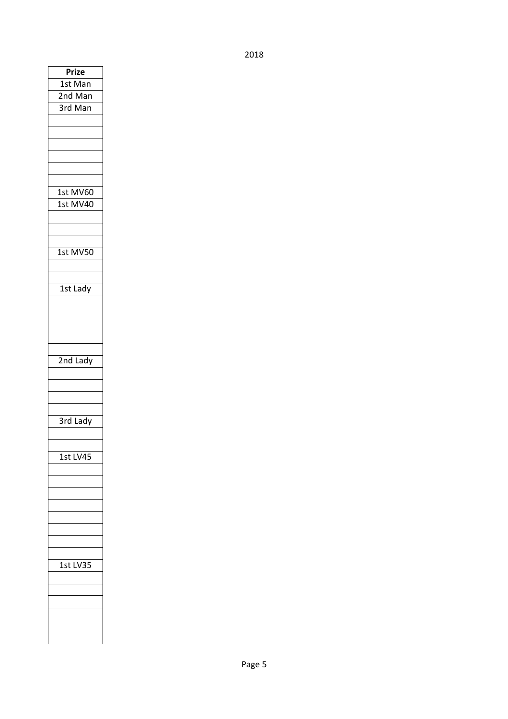| Prize<br>1st Man<br>2nd Man<br>$\overline{3}$ rd Man |
|------------------------------------------------------|
|                                                      |
| 1st MV60<br>1st MV40                                 |
| 1st MV50                                             |
| 1st Lady                                             |
| 2nd Lady                                             |
| 3rd Lady                                             |
| .S'<br>t                                             |
| 1st<br>ı                                             |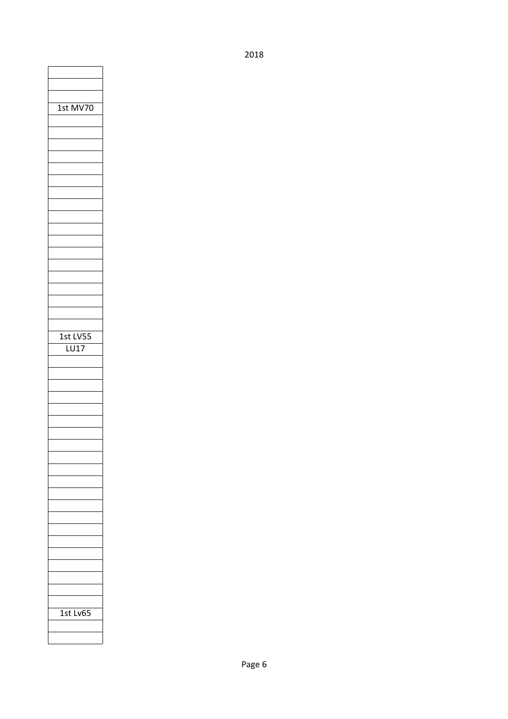| 1st MV70         |
|------------------|
|                  |
|                  |
|                  |
|                  |
|                  |
|                  |
|                  |
|                  |
|                  |
| 1st LV5!<br>LU17 |
|                  |
|                  |
|                  |
|                  |
|                  |
|                  |
|                  |
|                  |
|                  |
|                  |
|                  |
| C<br>1st Lv(     |
|                  |